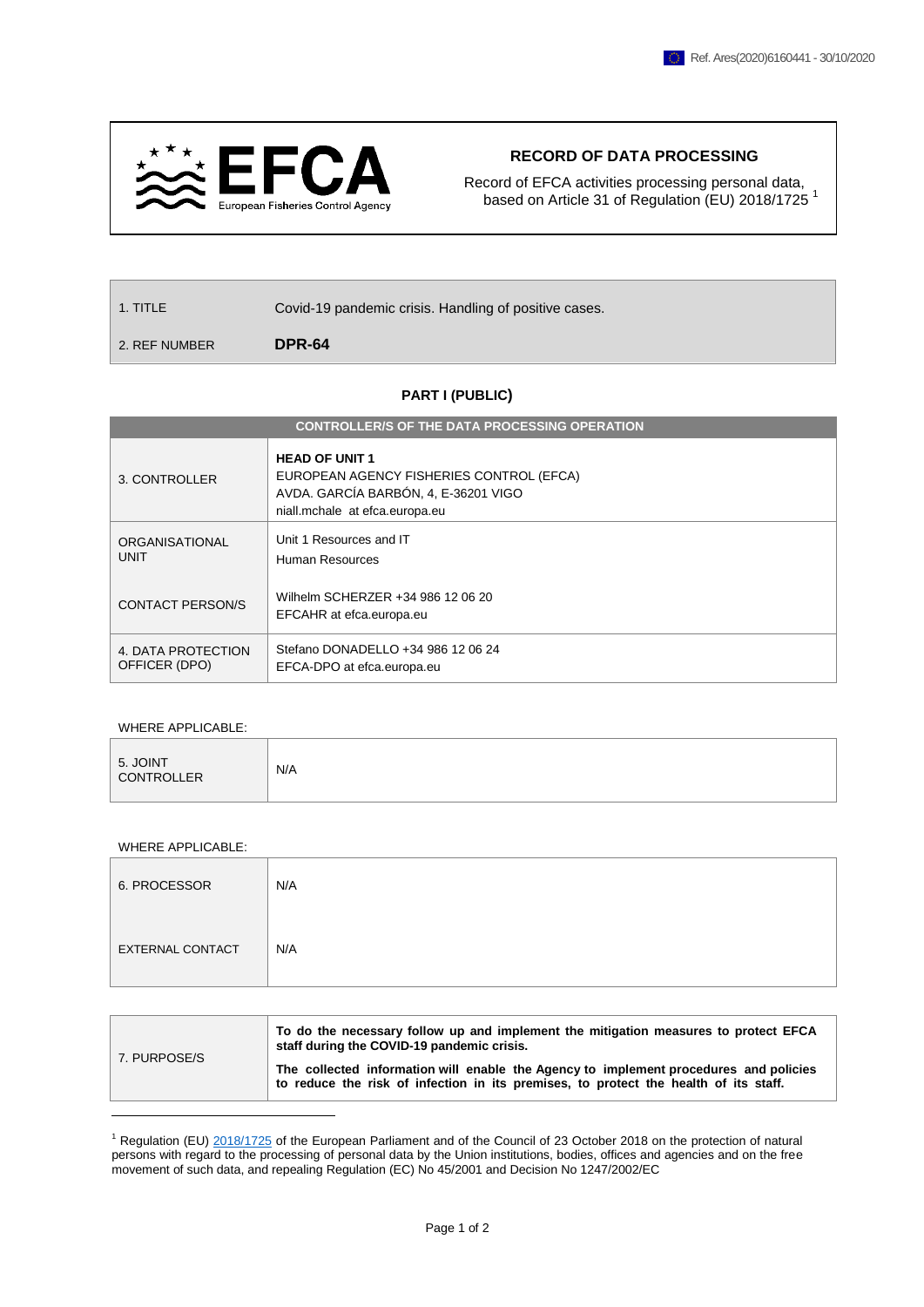

## **RECORD OF DATA PROCESSING**

Record of EFCA activities processing personal data, based on Article 31 of Regulation (EU) 2018/1725<sup>1</sup>

| $\vert$ 1. TITLE | Covid-19 pandemic crisis. Handling of positive cases. |
|------------------|-------------------------------------------------------|
| 2. REF NUMBER    | DPR-64                                                |

## **PART I (PUBLIC)**

| <b>CONTROLLER/S OF THE DATA PROCESSING OPERATION</b> |                                                                                                                                             |  |  |  |
|------------------------------------------------------|---------------------------------------------------------------------------------------------------------------------------------------------|--|--|--|
| 3. CONTROLLER                                        | <b>HEAD OF UNIT 1</b><br>EUROPEAN AGENCY FISHERIES CONTROL (EFCA)<br>AVDA. GARCÍA BARBÓN, 4, E-36201 VIGO<br>niall.mchale at efca.europa.eu |  |  |  |
| ORGANISATIONAL<br><b>UNIT</b>                        | Unit 1 Resources and IT<br>Human Resources                                                                                                  |  |  |  |
| <b>CONTACT PERSON/S</b>                              | Wilhelm SCHERZER +34 986 12 06 20<br>EFCAHR at efca.europa.eu                                                                               |  |  |  |
| 4. DATA PROTECTION<br>OFFICER (DPO)                  | Stefano DONADELLO +34 986 12 06 24<br>EFCA-DPO at efca.europa.eu                                                                            |  |  |  |

## WHERE APPLICABLE:

| 5. JOINT<br><b>CONTROLLER</b> | N/A |
|-------------------------------|-----|
|                               |     |

## WHERE APPLICABLE:

| 6. PROCESSOR            | N/A |
|-------------------------|-----|
| <b>EXTERNAL CONTACT</b> | N/A |

| 7. PURPOSE/S | To do the necessary follow up and implement the mitigation measures to protect EFCA<br>staff during the COVID-19 pandemic crisis.                                             |  |
|--------------|-------------------------------------------------------------------------------------------------------------------------------------------------------------------------------|--|
|              | The collected information will enable the Agency to implement procedures and policies<br>to reduce the risk of infection in its premises, to protect the health of its staff. |  |
|              |                                                                                                                                                                               |  |

<sup>1</sup> Regulation (EU) [2018/1725](https://eur-lex.europa.eu/legal-content/EN/TXT/?uri=CELEX%3A32018R1725) of the European Parliament and of the Council of 23 October 2018 on the protection of natural persons with regard to the processing of personal data by the Union institutions, bodies, offices and agencies and on the free movement of such data, and repealing Regulation (EC) No 45/2001 and Decision No 1247/2002/EC